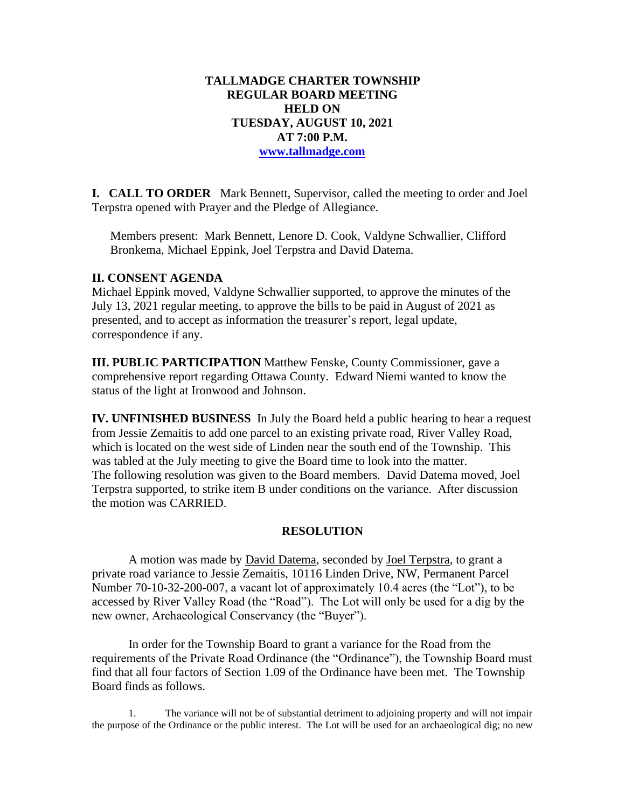### **TALLMADGE CHARTER TOWNSHIP REGULAR BOARD MEETING HELD ON TUESDAY, AUGUST 10, 2021 AT 7:00 P.M. [www.tallmadge.com](http://www.tallmadge.com/)**

**I. CALL TO ORDER** Mark Bennett, Supervisor, called the meeting to order and Joel Terpstra opened with Prayer and the Pledge of Allegiance.

Members present: Mark Bennett, Lenore D. Cook, Valdyne Schwallier, Clifford Bronkema, Michael Eppink, Joel Terpstra and David Datema.

#### **II. CONSENT AGENDA**

Michael Eppink moved, Valdyne Schwallier supported, to approve the minutes of the July 13, 2021 regular meeting, to approve the bills to be paid in August of 2021 as presented, and to accept as information the treasurer's report, legal update, correspondence if any.

**III. PUBLIC PARTICIPATION** Matthew Fenske, County Commissioner, gave a comprehensive report regarding Ottawa County. Edward Niemi wanted to know the status of the light at Ironwood and Johnson.

**IV. UNFINISHED BUSINESS** In July the Board held a public hearing to hear a request from Jessie Zemaitis to add one parcel to an existing private road, River Valley Road, which is located on the west side of Linden near the south end of the Township. This was tabled at the July meeting to give the Board time to look into the matter. The following resolution was given to the Board members. David Datema moved, Joel Terpstra supported, to strike item B under conditions on the variance. After discussion the motion was CARRIED.

### **RESOLUTION**

A motion was made by David Datema, seconded by Joel Terpstra, to grant a private road variance to Jessie Zemaitis, 10116 Linden Drive, NW, Permanent Parcel Number 70-10-32-200-007, a vacant lot of approximately 10.4 acres (the "Lot"), to be accessed by River Valley Road (the "Road"). The Lot will only be used for a dig by the new owner, Archaeological Conservancy (the "Buyer").

In order for the Township Board to grant a variance for the Road from the requirements of the Private Road Ordinance (the "Ordinance"), the Township Board must find that all four factors of Section 1.09 of the Ordinance have been met. The Township Board finds as follows.

1. The variance will not be of substantial detriment to adjoining property and will not impair the purpose of the Ordinance or the public interest. The Lot will be used for an archaeological dig; no new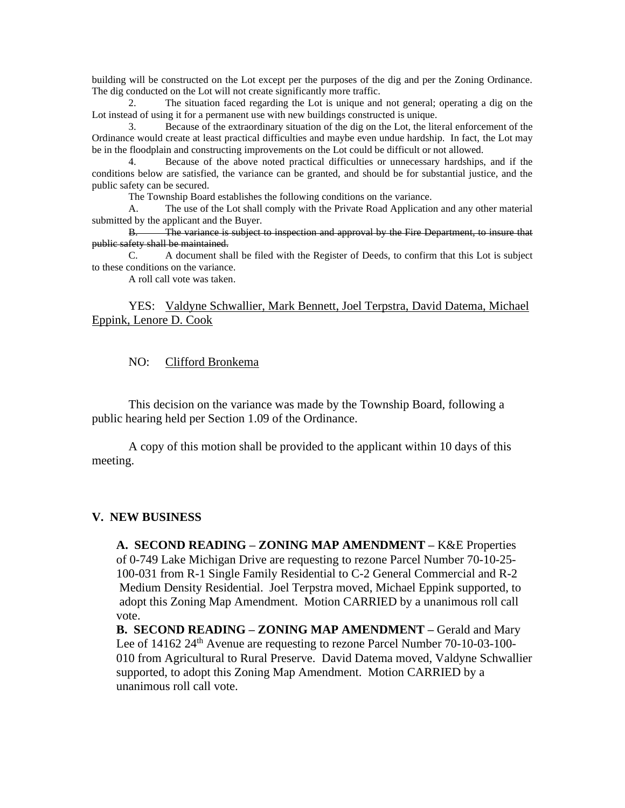building will be constructed on the Lot except per the purposes of the dig and per the Zoning Ordinance. The dig conducted on the Lot will not create significantly more traffic.

2. The situation faced regarding the Lot is unique and not general; operating a dig on the Lot instead of using it for a permanent use with new buildings constructed is unique.

3. Because of the extraordinary situation of the dig on the Lot, the literal enforcement of the Ordinance would create at least practical difficulties and maybe even undue hardship. In fact, the Lot may be in the floodplain and constructing improvements on the Lot could be difficult or not allowed.

Because of the above noted practical difficulties or unnecessary hardships, and if the conditions below are satisfied, the variance can be granted, and should be for substantial justice, and the public safety can be secured.

The Township Board establishes the following conditions on the variance.

A. The use of the Lot shall comply with the Private Road Application and any other material submitted by the applicant and the Buyer.

B. The variance is subject to inspection and approval by the Fire Department, to insure that public safety shall be maintained.

C. A document shall be filed with the Register of Deeds, to confirm that this Lot is subject to these conditions on the variance.

A roll call vote was taken.

#### YES: Valdyne Schwallier, Mark Bennett, Joel Terpstra, David Datema, Michael Eppink, Lenore D. Cook

#### NO: Clifford Bronkema

This decision on the variance was made by the Township Board, following a public hearing held per Section 1.09 of the Ordinance.

A copy of this motion shall be provided to the applicant within 10 days of this meeting.

#### **V. NEW BUSINESS**

 **A. SECOND READING – ZONING MAP AMENDMENT –** K&E Properties of 0-749 Lake Michigan Drive are requesting to rezone Parcel Number 70-10-25- 100-031 from R-1 Single Family Residential to C-2 General Commercial and R-2 Medium Density Residential. Joel Terpstra moved, Michael Eppink supported, to adopt this Zoning Map Amendment. Motion CARRIED by a unanimous roll call vote.

 **B. SECOND READING – ZONING MAP AMENDMENT –** Gerald and Mary Lee of 14162 24<sup>th</sup> Avenue are requesting to rezone Parcel Number 70-10-03-100- 010 from Agricultural to Rural Preserve. David Datema moved, Valdyne Schwallier supported, to adopt this Zoning Map Amendment. Motion CARRIED by a unanimous roll call vote.